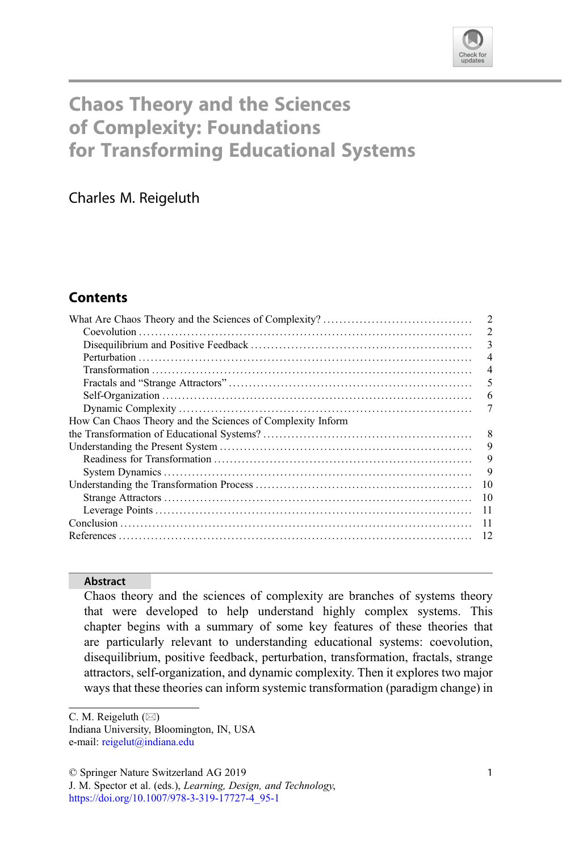

# Chaos Theory and the Sciences of Complexity: Foundations for Transforming Educational Systems

Charles M. Reigeluth

## **Contents**

|                                                            | $\overline{2}$ |
|------------------------------------------------------------|----------------|
|                                                            | $\overline{c}$ |
|                                                            | 3              |
|                                                            | $\overline{4}$ |
|                                                            | $\overline{4}$ |
|                                                            | 5              |
|                                                            | 6              |
|                                                            | 7              |
| How Can Chaos Theory and the Sciences of Complexity Inform |                |
|                                                            | 8              |
|                                                            | 9              |
|                                                            | 9              |
|                                                            | 9              |
|                                                            | 10             |
|                                                            | 10             |
|                                                            | -11            |
|                                                            | -11            |
|                                                            | 12             |
|                                                            |                |

#### Abstract

Chaos theory and the sciences of complexity are branches of systems theory that were developed to help understand highly complex systems. This chapter begins with a summary of some key features of these theories that are particularly relevant to understanding educational systems: coevolution, disequilibrium, positive feedback, perturbation, transformation, fractals, strange attractors, self-organization, and dynamic complexity. Then it explores two major ways that these theories can inform systemic transformation (paradigm change) in

Indiana University, Bloomington, IN, USA e-mail: [reigelut@indiana.edu](mailto:reigelut@indiana.edu)

C. M. Reigeluth  $(\boxtimes)$ 

<sup>©</sup> Springer Nature Switzerland AG 2019

J. M. Spector et al. (eds.), Learning, Design, and Technology, [https://doi.org/10.1007/978-3-319-17727-4\\_95-1](https://doi.org/10.1007/978-3-319-17727-4_95-1)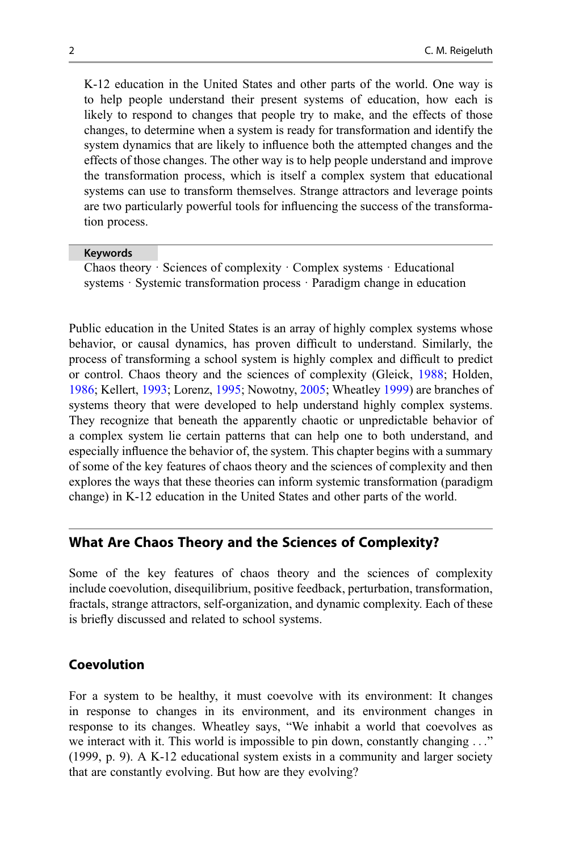K-12 education in the United States and other parts of the world. One way is to help people understand their present systems of education, how each is likely to respond to changes that people try to make, and the effects of those changes, to determine when a system is ready for transformation and identify the system dynamics that are likely to influence both the attempted changes and the effects of those changes. The other way is to help people understand and improve the transformation process, which is itself a complex system that educational systems can use to transform themselves. Strange attractors and leverage points are two particularly powerful tools for influencing the success of the transformation process.

#### Keywords

Chaos theory · Sciences of complexity · Complex systems · Educational systems · Systemic transformation process · Paradigm change in education

Public education in the United States is an array of highly complex systems whose behavior, or causal dynamics, has proven difficult to understand. Similarly, the process of transforming a school system is highly complex and difficult to predict or control. Chaos theory and the sciences of complexity (Gleick, [1988](#page-11-0); Holden, [1986;](#page-11-0) Kellert, [1993;](#page-11-0) Lorenz, [1995;](#page-11-0) Nowotny, [2005;](#page-11-0) Wheatley [1999](#page-11-0)) are branches of systems theory that were developed to help understand highly complex systems. They recognize that beneath the apparently chaotic or unpredictable behavior of a complex system lie certain patterns that can help one to both understand, and especially influence the behavior of, the system. This chapter begins with a summary of some of the key features of chaos theory and the sciences of complexity and then explores the ways that these theories can inform systemic transformation (paradigm change) in K-12 education in the United States and other parts of the world.

## What Are Chaos Theory and the Sciences of Complexity?

Some of the key features of chaos theory and the sciences of complexity include coevolution, disequilibrium, positive feedback, perturbation, transformation, fractals, strange attractors, self-organization, and dynamic complexity. Each of these is briefly discussed and related to school systems.

## Coevolution

For a system to be healthy, it must coevolve with its environment: It changes in response to changes in its environment, and its environment changes in response to its changes. Wheatley says, "We inhabit a world that coevolves as we interact with it. This world is impossible to pin down, constantly changing ..." (1999, p. 9). A K-12 educational system exists in a community and larger society that are constantly evolving. But how are they evolving?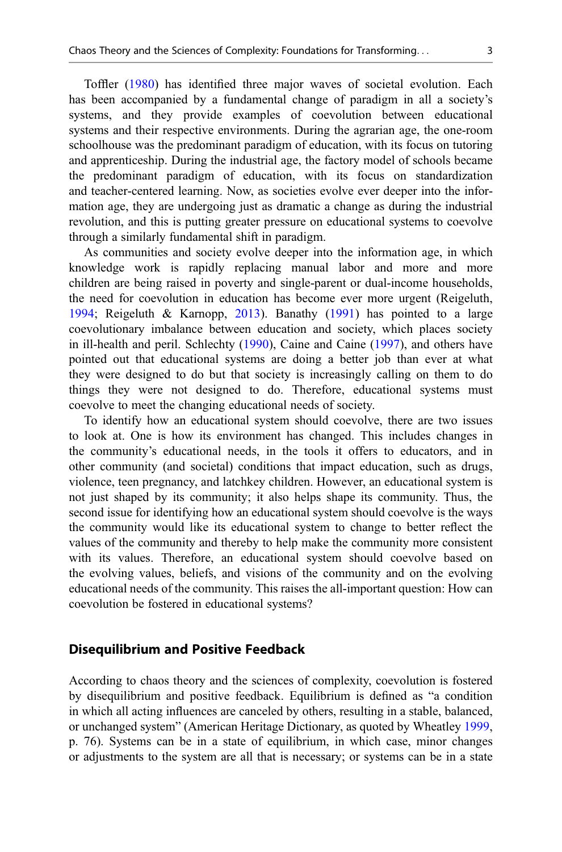Toffler ([1980\)](#page-11-0) has identified three major waves of societal evolution. Each has been accompanied by a fundamental change of paradigm in all a society's systems, and they provide examples of coevolution between educational systems and their respective environments. During the agrarian age, the one-room schoolhouse was the predominant paradigm of education, with its focus on tutoring and apprenticeship. During the industrial age, the factory model of schools became the predominant paradigm of education, with its focus on standardization and teacher-centered learning. Now, as societies evolve ever deeper into the information age, they are undergoing just as dramatic a change as during the industrial revolution, and this is putting greater pressure on educational systems to coevolve through a similarly fundamental shift in paradigm.

As communities and society evolve deeper into the information age, in which knowledge work is rapidly replacing manual labor and more and more children are being raised in poverty and single-parent or dual-income households, the need for coevolution in education has become ever more urgent (Reigeluth, [1994;](#page-11-0) Reigeluth & Karnopp, [2013\)](#page-11-0). Banathy ([1991\)](#page-11-0) has pointed to a large coevolutionary imbalance between education and society, which places society in ill-health and peril. Schlechty [\(1990](#page-11-0)), Caine and Caine ([1997\)](#page-11-0), and others have pointed out that educational systems are doing a better job than ever at what they were designed to do but that society is increasingly calling on them to do things they were not designed to do. Therefore, educational systems must coevolve to meet the changing educational needs of society.

To identify how an educational system should coevolve, there are two issues to look at. One is how its environment has changed. This includes changes in the community's educational needs, in the tools it offers to educators, and in other community (and societal) conditions that impact education, such as drugs, violence, teen pregnancy, and latchkey children. However, an educational system is not just shaped by its community; it also helps shape its community. Thus, the second issue for identifying how an educational system should coevolve is the ways the community would like its educational system to change to better reflect the values of the community and thereby to help make the community more consistent with its values. Therefore, an educational system should coevolve based on the evolving values, beliefs, and visions of the community and on the evolving educational needs of the community. This raises the all-important question: How can coevolution be fostered in educational systems?

#### Disequilibrium and Positive Feedback

According to chaos theory and the sciences of complexity, coevolution is fostered by disequilibrium and positive feedback. Equilibrium is defined as "a condition in which all acting influences are canceled by others, resulting in a stable, balanced, or unchanged system" (American Heritage Dictionary, as quoted by Wheatley [1999](#page-11-0), p. 76). Systems can be in a state of equilibrium, in which case, minor changes or adjustments to the system are all that is necessary; or systems can be in a state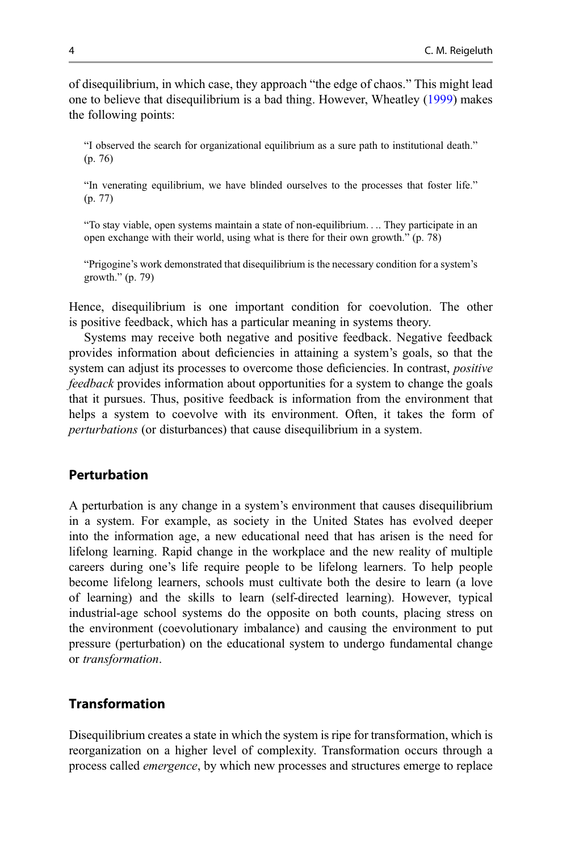of disequilibrium, in which case, they approach "the edge of chaos." This might lead one to believe that disequilibrium is a bad thing. However, Wheatley [\(1999](#page-11-0)) makes the following points:

"I observed the search for organizational equilibrium as a sure path to institutional death." (p. 76)

"In venerating equilibrium, we have blinded ourselves to the processes that foster life." (p. 77)

"To stay viable, open systems maintain a state of non-equilibrium.... They participate in an open exchange with their world, using what is there for their own growth." (p. 78)

"Prigogine's work demonstrated that disequilibrium is the necessary condition for a system's growth." (p. 79)

Hence, disequilibrium is one important condition for coevolution. The other is positive feedback, which has a particular meaning in systems theory.

Systems may receive both negative and positive feedback. Negative feedback provides information about deficiencies in attaining a system's goals, so that the system can adjust its processes to overcome those deficiencies. In contrast, *positive* feedback provides information about opportunities for a system to change the goals that it pursues. Thus, positive feedback is information from the environment that helps a system to coevolve with its environment. Often, it takes the form of perturbations (or disturbances) that cause disequilibrium in a system.

#### Perturbation

A perturbation is any change in a system's environment that causes disequilibrium in a system. For example, as society in the United States has evolved deeper into the information age, a new educational need that has arisen is the need for lifelong learning. Rapid change in the workplace and the new reality of multiple careers during one's life require people to be lifelong learners. To help people become lifelong learners, schools must cultivate both the desire to learn (a love of learning) and the skills to learn (self-directed learning). However, typical industrial-age school systems do the opposite on both counts, placing stress on the environment (coevolutionary imbalance) and causing the environment to put pressure (perturbation) on the educational system to undergo fundamental change or transformation.

## Transformation

Disequilibrium creates a state in which the system is ripe for transformation, which is reorganization on a higher level of complexity. Transformation occurs through a process called emergence, by which new processes and structures emerge to replace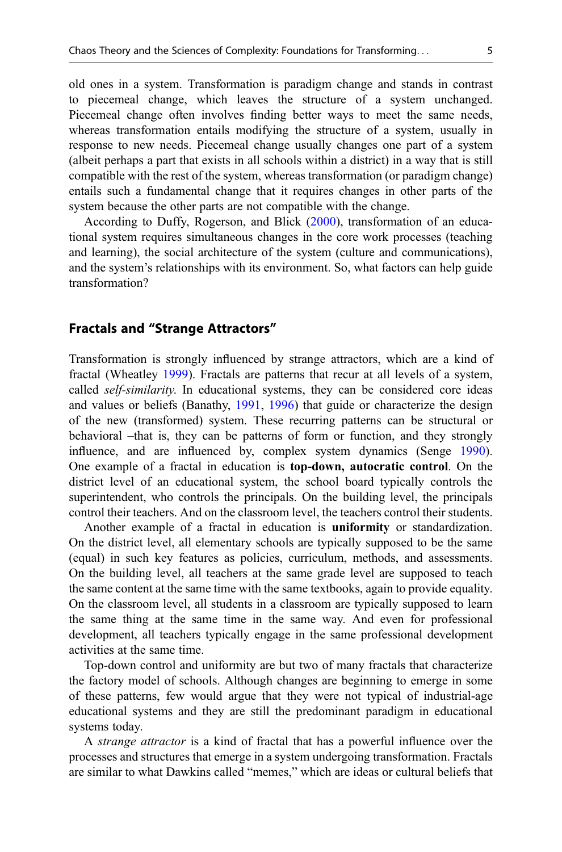old ones in a system. Transformation is paradigm change and stands in contrast to piecemeal change, which leaves the structure of a system unchanged. Piecemeal change often involves finding better ways to meet the same needs, whereas transformation entails modifying the structure of a system, usually in response to new needs. Piecemeal change usually changes one part of a system (albeit perhaps a part that exists in all schools within a district) in a way that is still compatible with the rest of the system, whereas transformation (or paradigm change) entails such a fundamental change that it requires changes in other parts of the system because the other parts are not compatible with the change.

According to Duffy, Rogerson, and Blick ([2000\)](#page-11-0), transformation of an educational system requires simultaneous changes in the core work processes (teaching and learning), the social architecture of the system (culture and communications), and the system's relationships with its environment. So, what factors can help guide transformation?

#### Fractals and "Strange Attractors"

Transformation is strongly influenced by strange attractors, which are a kind of fractal (Wheatley [1999](#page-11-0)). Fractals are patterns that recur at all levels of a system, called self-similarity. In educational systems, they can be considered core ideas and values or beliefs (Banathy, [1991](#page-11-0), [1996](#page-11-0)) that guide or characterize the design of the new (transformed) system. These recurring patterns can be structural or behavioral –that is, they can be patterns of form or function, and they strongly influence, and are influenced by, complex system dynamics (Senge [1990\)](#page-11-0). One example of a fractal in education is top-down, autocratic control. On the district level of an educational system, the school board typically controls the superintendent, who controls the principals. On the building level, the principals control their teachers. And on the classroom level, the teachers control their students.

Another example of a fractal in education is uniformity or standardization. On the district level, all elementary schools are typically supposed to be the same (equal) in such key features as policies, curriculum, methods, and assessments. On the building level, all teachers at the same grade level are supposed to teach the same content at the same time with the same textbooks, again to provide equality. On the classroom level, all students in a classroom are typically supposed to learn the same thing at the same time in the same way. And even for professional development, all teachers typically engage in the same professional development activities at the same time.

Top-down control and uniformity are but two of many fractals that characterize the factory model of schools. Although changes are beginning to emerge in some of these patterns, few would argue that they were not typical of industrial-age educational systems and they are still the predominant paradigm in educational systems today.

A strange attractor is a kind of fractal that has a powerful influence over the processes and structures that emerge in a system undergoing transformation. Fractals are similar to what Dawkins called "memes," which are ideas or cultural beliefs that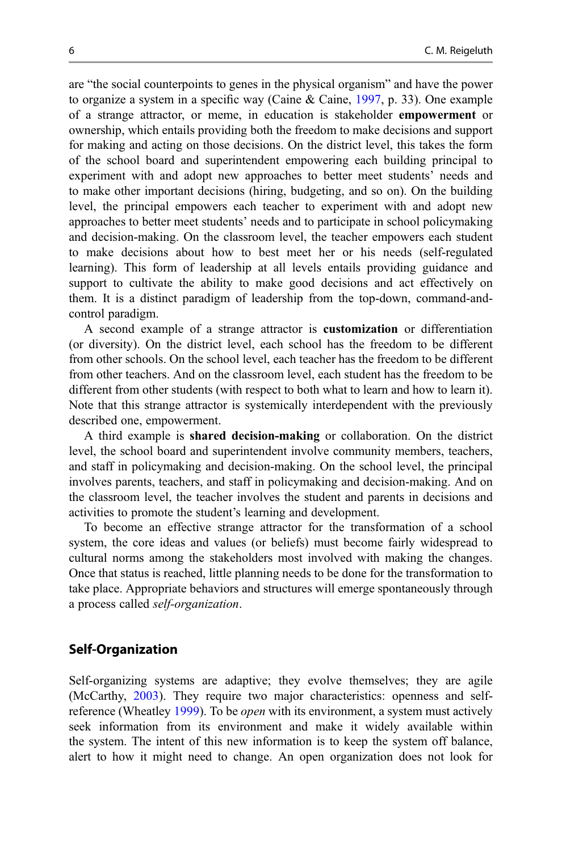are "the social counterpoints to genes in the physical organism" and have the power to organize a system in a specific way (Caine & Caine, [1997](#page-11-0), p. 33). One example of a strange attractor, or meme, in education is stakeholder empowerment or ownership, which entails providing both the freedom to make decisions and support for making and acting on those decisions. On the district level, this takes the form of the school board and superintendent empowering each building principal to experiment with and adopt new approaches to better meet students' needs and to make other important decisions (hiring, budgeting, and so on). On the building level, the principal empowers each teacher to experiment with and adopt new approaches to better meet students' needs and to participate in school policymaking and decision-making. On the classroom level, the teacher empowers each student to make decisions about how to best meet her or his needs (self-regulated learning). This form of leadership at all levels entails providing guidance and support to cultivate the ability to make good decisions and act effectively on them. It is a distinct paradigm of leadership from the top-down, command-andcontrol paradigm.

A second example of a strange attractor is customization or differentiation (or diversity). On the district level, each school has the freedom to be different from other schools. On the school level, each teacher has the freedom to be different from other teachers. And on the classroom level, each student has the freedom to be different from other students (with respect to both what to learn and how to learn it). Note that this strange attractor is systemically interdependent with the previously described one, empowerment.

A third example is shared decision-making or collaboration. On the district level, the school board and superintendent involve community members, teachers, and staff in policymaking and decision-making. On the school level, the principal involves parents, teachers, and staff in policymaking and decision-making. And on the classroom level, the teacher involves the student and parents in decisions and activities to promote the student's learning and development.

To become an effective strange attractor for the transformation of a school system, the core ideas and values (or beliefs) must become fairly widespread to cultural norms among the stakeholders most involved with making the changes. Once that status is reached, little planning needs to be done for the transformation to take place. Appropriate behaviors and structures will emerge spontaneously through a process called self-organization.

#### Self-Organization

Self-organizing systems are adaptive; they evolve themselves; they are agile (McCarthy, [2003](#page-11-0)). They require two major characteristics: openness and self-reference (Wheatley [1999](#page-11-0)). To be *open* with its environment, a system must actively seek information from its environment and make it widely available within the system. The intent of this new information is to keep the system off balance, alert to how it might need to change. An open organization does not look for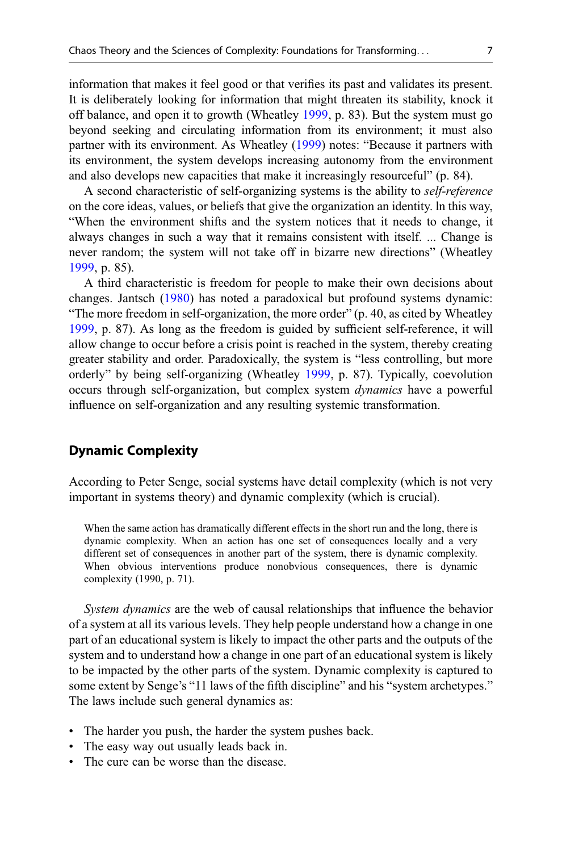information that makes it feel good or that verifies its past and validates its present. It is deliberately looking for information that might threaten its stability, knock it off balance, and open it to growth (Wheatley [1999,](#page-11-0) p. 83). But the system must go beyond seeking and circulating information from its environment; it must also partner with its environment. As Wheatley [\(1999](#page-11-0)) notes: "Because it partners with its environment, the system develops increasing autonomy from the environment and also develops new capacities that make it increasingly resourceful" (p. 84).

A second characteristic of self-organizing systems is the ability to self-reference on the core ideas, values, or beliefs that give the organization an identity. ln this way, "When the environment shifts and the system notices that it needs to change, it always changes in such a way that it remains consistent with itself. ... Change is never random; the system will not take off in bizarre new directions" (Wheatley [1999,](#page-11-0) p. 85).

A third characteristic is freedom for people to make their own decisions about changes. Jantsch [\(1980](#page-11-0)) has noted a paradoxical but profound systems dynamic: "The more freedom in self-organization, the more order" (p. 40, as cited by Wheatley [1999,](#page-11-0) p. 87). As long as the freedom is guided by sufficient self-reference, it will allow change to occur before a crisis point is reached in the system, thereby creating greater stability and order. Paradoxically, the system is "less controlling, but more orderly" by being self-organizing (Wheatley [1999,](#page-11-0) p. 87). Typically, coevolution occurs through self-organization, but complex system dynamics have a powerful influence on self-organization and any resulting systemic transformation.

#### Dynamic Complexity

According to Peter Senge, social systems have detail complexity (which is not very important in systems theory) and dynamic complexity (which is crucial).

When the same action has dramatically different effects in the short run and the long, there is dynamic complexity. When an action has one set of consequences locally and a very different set of consequences in another part of the system, there is dynamic complexity. When obvious interventions produce nonobvious consequences, there is dynamic complexity (1990, p. 71).

System dynamics are the web of causal relationships that influence the behavior of a system at all its various levels. They help people understand how a change in one part of an educational system is likely to impact the other parts and the outputs of the system and to understand how a change in one part of an educational system is likely to be impacted by the other parts of the system. Dynamic complexity is captured to some extent by Senge's "11 laws of the fifth discipline" and his "system archetypes." The laws include such general dynamics as:

- The harder you push, the harder the system pushes back.
- The easy way out usually leads back in.
- The cure can be worse than the disease.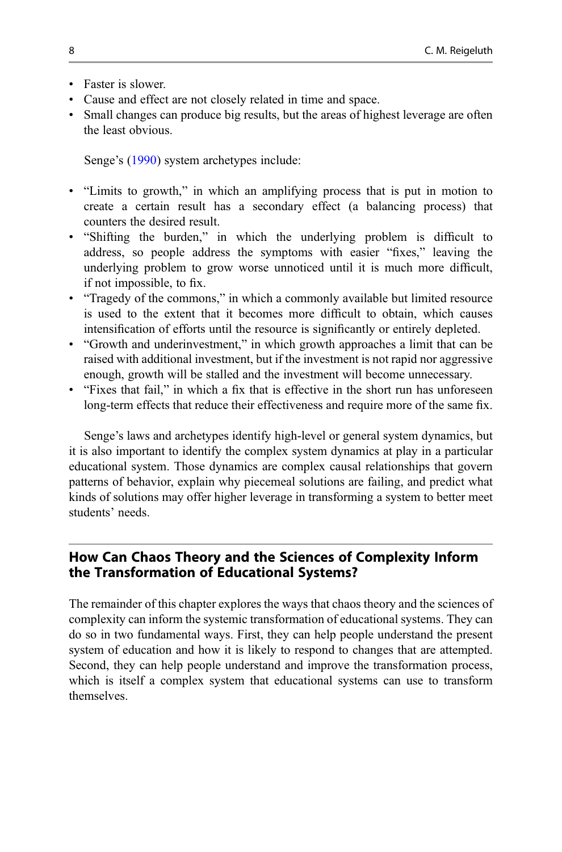- Faster is slower.
- Cause and effect are not closely related in time and space.
- Small changes can produce big results, but the areas of highest leverage are often the least obvious.

Senge's ([1990\)](#page-11-0) system archetypes include:

- "Limits to growth," in which an amplifying process that is put in motion to create a certain result has a secondary effect (a balancing process) that counters the desired result.
- "Shifting the burden," in which the underlying problem is difficult to address, so people address the symptoms with easier "fixes," leaving the underlying problem to grow worse unnoticed until it is much more difficult, if not impossible, to fix.
- "Tragedy of the commons," in which a commonly available but limited resource is used to the extent that it becomes more difficult to obtain, which causes intensification of efforts until the resource is significantly or entirely depleted.
- "Growth and underinvestment," in which growth approaches a limit that can be raised with additional investment, but if the investment is not rapid nor aggressive enough, growth will be stalled and the investment will become unnecessary.
- "Fixes that fail," in which a fix that is effective in the short run has unforeseen long-term effects that reduce their effectiveness and require more of the same fix.

Senge's laws and archetypes identify high-level or general system dynamics, but it is also important to identify the complex system dynamics at play in a particular educational system. Those dynamics are complex causal relationships that govern patterns of behavior, explain why piecemeal solutions are failing, and predict what kinds of solutions may offer higher leverage in transforming a system to better meet students' needs.

## How Can Chaos Theory and the Sciences of Complexity Inform the Transformation of Educational Systems?

The remainder of this chapter explores the ways that chaos theory and the sciences of complexity can inform the systemic transformation of educational systems. They can do so in two fundamental ways. First, they can help people understand the present system of education and how it is likely to respond to changes that are attempted. Second, they can help people understand and improve the transformation process, which is itself a complex system that educational systems can use to transform themselves.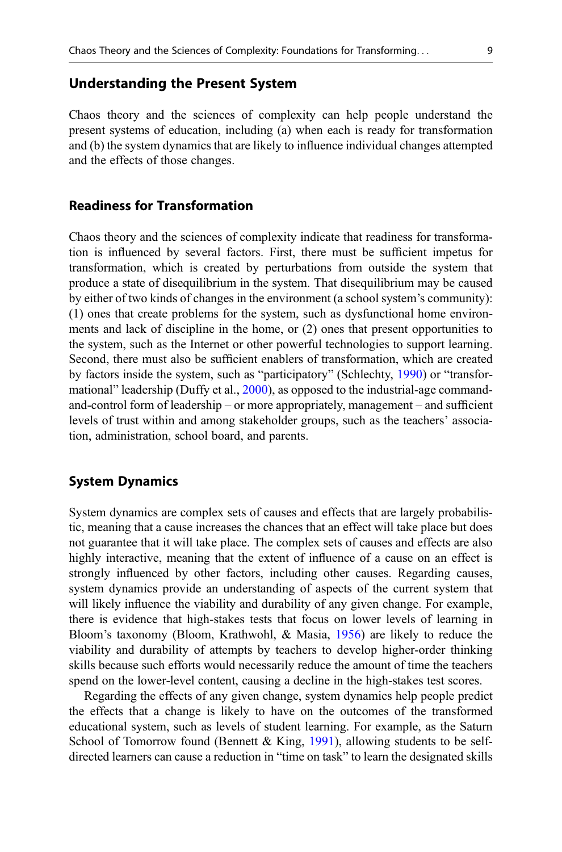#### Understanding the Present System

Chaos theory and the sciences of complexity can help people understand the present systems of education, including (a) when each is ready for transformation and (b) the system dynamics that are likely to influence individual changes attempted and the effects of those changes.

#### Readiness for Transformation

Chaos theory and the sciences of complexity indicate that readiness for transformation is influenced by several factors. First, there must be sufficient impetus for transformation, which is created by perturbations from outside the system that produce a state of disequilibrium in the system. That disequilibrium may be caused by either of two kinds of changes in the environment (a school system's community): (1) ones that create problems for the system, such as dysfunctional home environments and lack of discipline in the home, or (2) ones that present opportunities to the system, such as the Internet or other powerful technologies to support learning. Second, there must also be sufficient enablers of transformation, which are created by factors inside the system, such as "participatory" (Schlechty, [1990\)](#page-11-0) or "transformational" leadership (Duffy et al., [2000\)](#page-11-0), as opposed to the industrial-age commandand-control form of leadership – or more appropriately, management – and sufficient levels of trust within and among stakeholder groups, such as the teachers' association, administration, school board, and parents.

#### System Dynamics

System dynamics are complex sets of causes and effects that are largely probabilistic, meaning that a cause increases the chances that an effect will take place but does not guarantee that it will take place. The complex sets of causes and effects are also highly interactive, meaning that the extent of influence of a cause on an effect is strongly influenced by other factors, including other causes. Regarding causes, system dynamics provide an understanding of aspects of the current system that will likely influence the viability and durability of any given change. For example, there is evidence that high-stakes tests that focus on lower levels of learning in Bloom's taxonomy (Bloom, Krathwohl, & Masia, [1956](#page-11-0)) are likely to reduce the viability and durability of attempts by teachers to develop higher-order thinking skills because such efforts would necessarily reduce the amount of time the teachers spend on the lower-level content, causing a decline in the high-stakes test scores.

Regarding the effects of any given change, system dynamics help people predict the effects that a change is likely to have on the outcomes of the transformed educational system, such as levels of student learning. For example, as the Saturn School of Tomorrow found (Bennett & King, [1991\)](#page-11-0), allowing students to be selfdirected learners can cause a reduction in "time on task" to learn the designated skills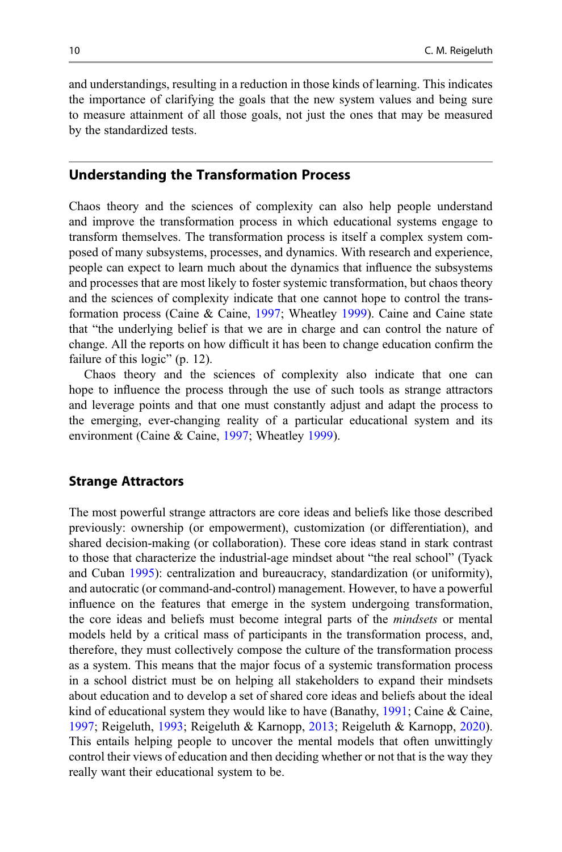and understandings, resulting in a reduction in those kinds of learning. This indicates the importance of clarifying the goals that the new system values and being sure to measure attainment of all those goals, not just the ones that may be measured by the standardized tests.

## Understanding the Transformation Process

Chaos theory and the sciences of complexity can also help people understand and improve the transformation process in which educational systems engage to transform themselves. The transformation process is itself a complex system composed of many subsystems, processes, and dynamics. With research and experience, people can expect to learn much about the dynamics that influence the subsystems and processes that are most likely to foster systemic transformation, but chaos theory and the sciences of complexity indicate that one cannot hope to control the transformation process (Caine & Caine, [1997;](#page-11-0) Wheatley [1999](#page-11-0)). Caine and Caine state that "the underlying belief is that we are in charge and can control the nature of change. All the reports on how difficult it has been to change education confirm the failure of this logic" (p. 12).

Chaos theory and the sciences of complexity also indicate that one can hope to influence the process through the use of such tools as strange attractors and leverage points and that one must constantly adjust and adapt the process to the emerging, ever-changing reality of a particular educational system and its environment (Caine & Caine, [1997;](#page-11-0) Wheatley [1999\)](#page-11-0).

#### Strange Attractors

The most powerful strange attractors are core ideas and beliefs like those described previously: ownership (or empowerment), customization (or differentiation), and shared decision-making (or collaboration). These core ideas stand in stark contrast to those that characterize the industrial-age mindset about "the real school" (Tyack and Cuban [1995](#page-11-0)): centralization and bureaucracy, standardization (or uniformity), and autocratic (or command-and-control) management. However, to have a powerful influence on the features that emerge in the system undergoing transformation, the core ideas and beliefs must become integral parts of the mindsets or mental models held by a critical mass of participants in the transformation process, and, therefore, they must collectively compose the culture of the transformation process as a system. This means that the major focus of a systemic transformation process in a school district must be on helping all stakeholders to expand their mindsets about education and to develop a set of shared core ideas and beliefs about the ideal kind of educational system they would like to have (Banathy, [1991;](#page-11-0) Caine & Caine, [1997;](#page-11-0) Reigeluth, [1993](#page-11-0); Reigeluth & Karnopp, [2013;](#page-11-0) Reigeluth & Karnopp, [2020\)](#page-11-0). This entails helping people to uncover the mental models that often unwittingly control their views of education and then deciding whether or not that is the way they really want their educational system to be.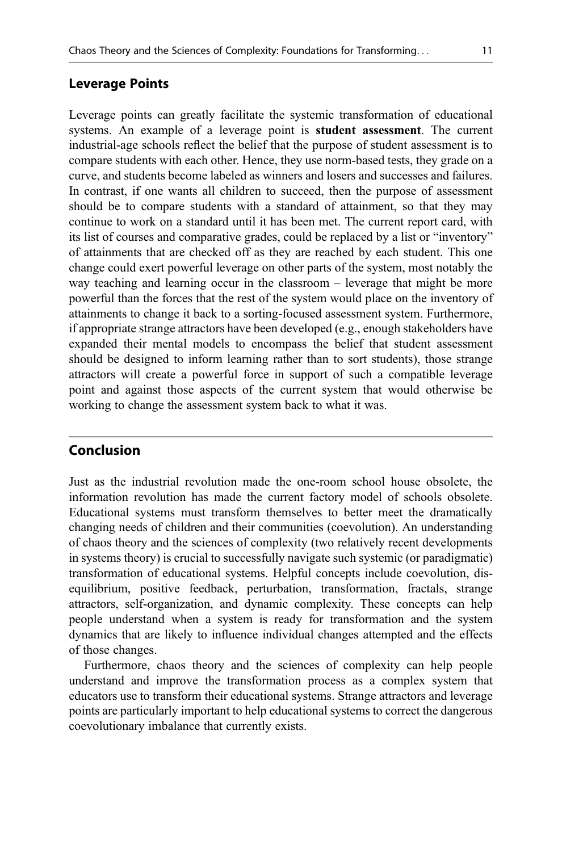#### Leverage Points

Leverage points can greatly facilitate the systemic transformation of educational systems. An example of a leverage point is **student assessment**. The current industrial-age schools reflect the belief that the purpose of student assessment is to compare students with each other. Hence, they use norm-based tests, they grade on a curve, and students become labeled as winners and losers and successes and failures. In contrast, if one wants all children to succeed, then the purpose of assessment should be to compare students with a standard of attainment, so that they may continue to work on a standard until it has been met. The current report card, with its list of courses and comparative grades, could be replaced by a list or "inventory" of attainments that are checked off as they are reached by each student. This one change could exert powerful leverage on other parts of the system, most notably the way teaching and learning occur in the classroom – leverage that might be more powerful than the forces that the rest of the system would place on the inventory of attainments to change it back to a sorting-focused assessment system. Furthermore, if appropriate strange attractors have been developed (e.g., enough stakeholders have expanded their mental models to encompass the belief that student assessment should be designed to inform learning rather than to sort students), those strange attractors will create a powerful force in support of such a compatible leverage point and against those aspects of the current system that would otherwise be working to change the assessment system back to what it was.

## Conclusion

Just as the industrial revolution made the one-room school house obsolete, the information revolution has made the current factory model of schools obsolete. Educational systems must transform themselves to better meet the dramatically changing needs of children and their communities (coevolution). An understanding of chaos theory and the sciences of complexity (two relatively recent developments in systems theory) is crucial to successfully navigate such systemic (or paradigmatic) transformation of educational systems. Helpful concepts include coevolution, disequilibrium, positive feedback, perturbation, transformation, fractals, strange attractors, self-organization, and dynamic complexity. These concepts can help people understand when a system is ready for transformation and the system dynamics that are likely to influence individual changes attempted and the effects of those changes.

Furthermore, chaos theory and the sciences of complexity can help people understand and improve the transformation process as a complex system that educators use to transform their educational systems. Strange attractors and leverage points are particularly important to help educational systems to correct the dangerous coevolutionary imbalance that currently exists.